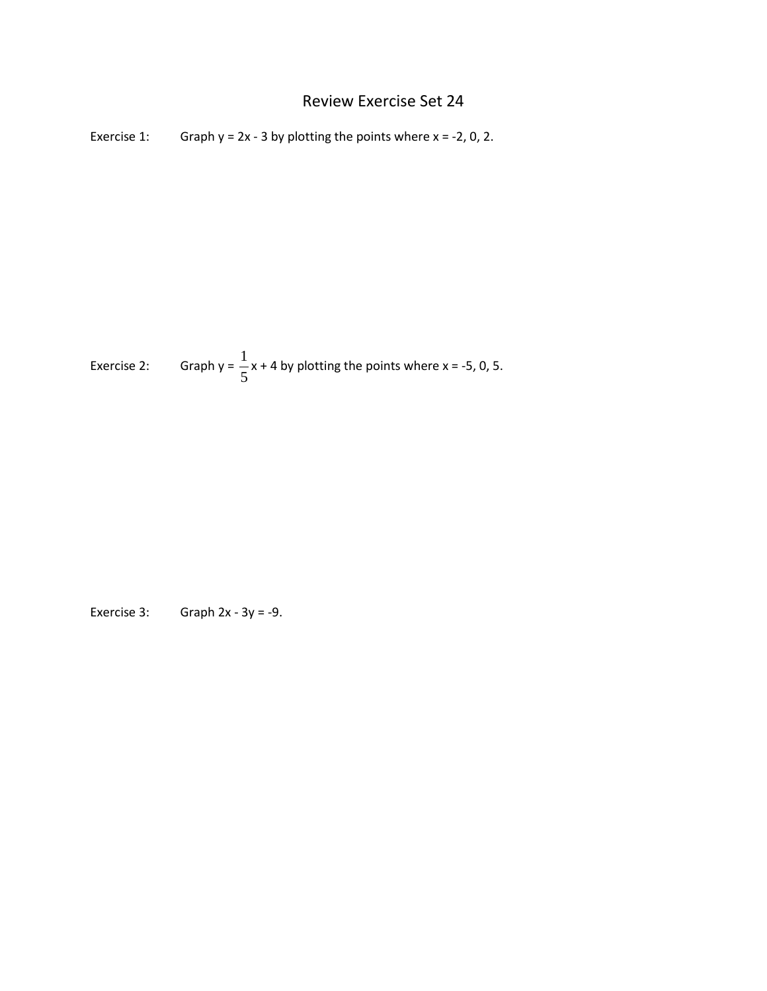## Review Exercise Set 24

Exercise 1: Graph  $y = 2x - 3$  by plotting the points where  $x = -2$ , 0, 2.

Exercise 2: Graph y =  $\frac{1}{5}$ 5  $x + 4$  by plotting the points where  $x = -5$ , 0, 5.

Exercise 3: Graph  $2x - 3y = -9$ .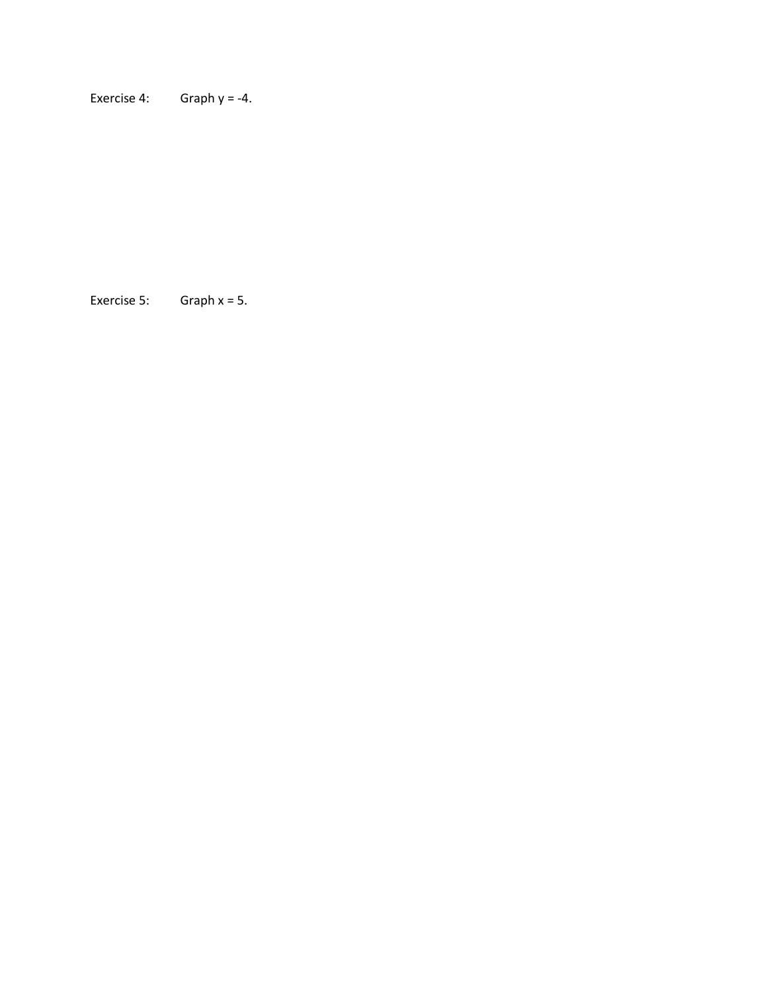Exercise 4: Graph  $y = -4$ .

Exercise 5: Graph x = 5.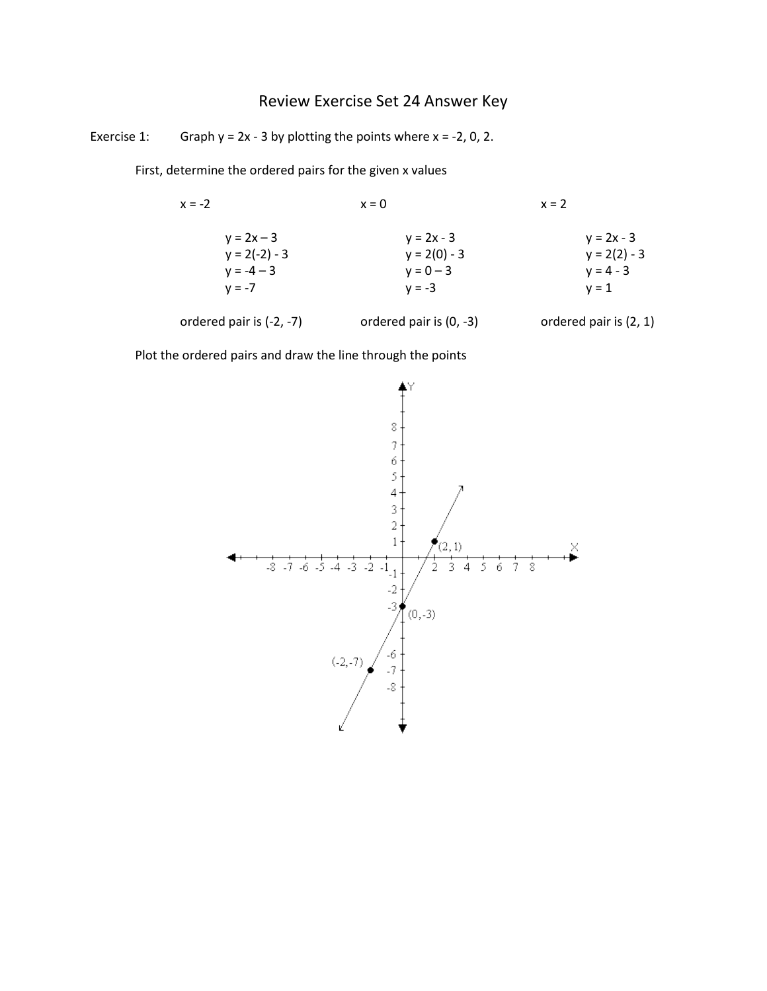## Review Exercise Set 24 Answer Key

Exercise 1: Graph  $y = 2x - 3$  by plotting the points where  $x = -2$ , 0, 2.

First, determine the ordered pairs for the given x values

| $x = -2$                                        | $x = 0$                                       | $x = 2$                                       |  |  |  |
|-------------------------------------------------|-----------------------------------------------|-----------------------------------------------|--|--|--|
| $y = 2x - 3$<br>$y = 2(-2) - 3$<br>$y = -4 - 3$ | $y = 2x - 3$<br>$y = 2(0) - 3$<br>$y = 0 - 3$ | $y = 2x - 3$<br>$y = 2(2) - 3$<br>$y = 4 - 3$ |  |  |  |
| $v = -7$                                        | $v = -3$                                      | $v = 1$                                       |  |  |  |
| ordered pair is (-2, -7)                        | ordered pair is (0, -3)                       | ordered pair is (2, 1)                        |  |  |  |

Plot the ordered pairs and draw the line through the points

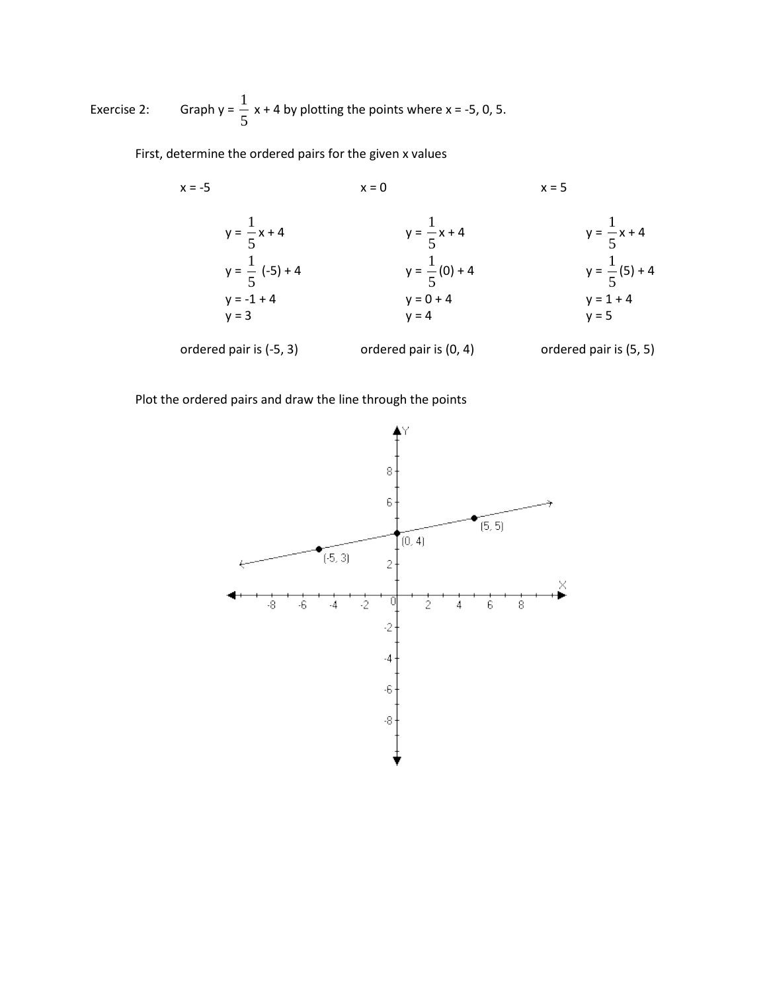Exercise 2: Graph y =  $\frac{1}{5}$  $\frac{1}{5}$  x + 4 by plotting the points where x = -5, 0, 5.

First, determine the ordered pairs for the given x values

x = -5  
\n
$$
y = \frac{1}{5}x + 4
$$
  
\n $y = \frac{1}{5}(-5) + 4$   
\ny = 0 + 4  
\ny = 1  
\ny = 1  
\ny = 2  
\n $y = \frac{1}{5}x + 4$   
\ny = 1  
\ny = 1  
\ny = 1  
\ny = 1  
\ny = 1  
\ny = 1  
\ny = 1  
\ny = 1  
\ny = 1  
\ny = 2  
\ny = 2  
\ny = 3  
\n $y = \frac{1}{5}(5) + 4$   
\ny = 1  
\ny = 5  
\n $y = \frac{1}{5}(5) + 4$   
\ny = 2  
\ny = 3  
\n $y = 6$   
\ny = 4  
\ny = 5  
\n $y = 1, 4$   
\ny = 5  
\n $y = 1, 6$   
\ny = 1  
\ny = 5  
\n $y = 2, 6$   
\ny = 5  
\n $y = 1, 6$   
\ny = 2  
\ny = 5  
\n $y = 1, 6$   
\ny = 3  
\ny = 4  
\ny = 5

Plot the ordered pairs and draw the line through the points

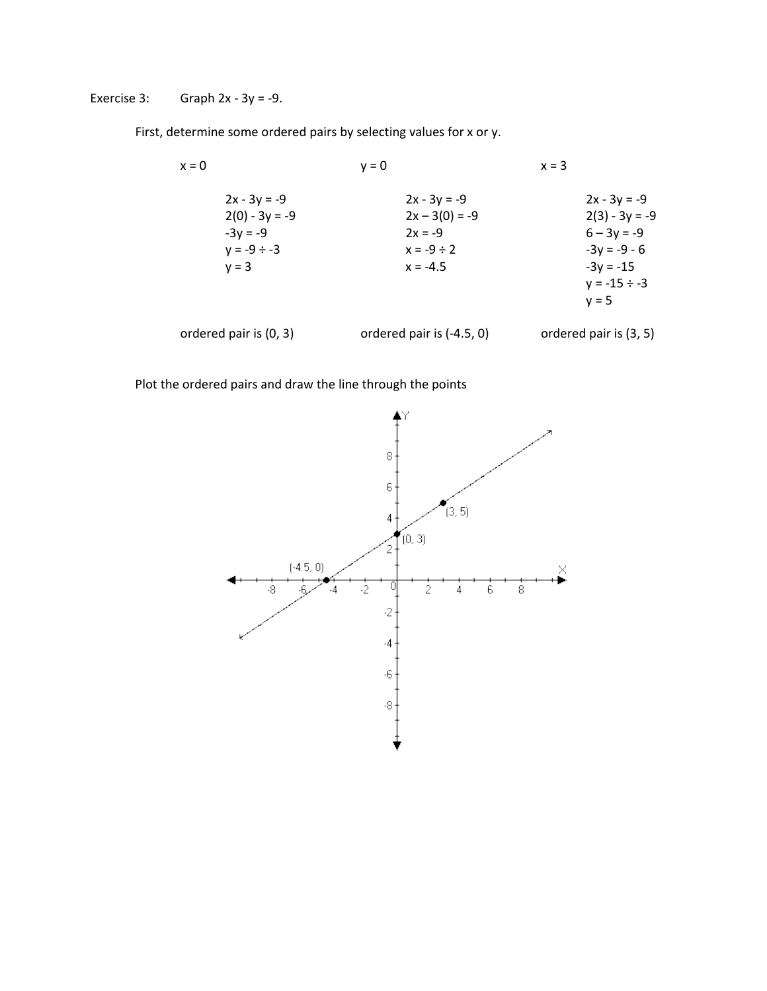Exercise 3: Graph  $2x - 3y = -9$ .

First, determine some ordered pairs by selecting values for x or y.

| x = 0                                                                           | $v = 0$ |                                                                                  | $x = 3$ |                                                                                                                      |
|---------------------------------------------------------------------------------|---------|----------------------------------------------------------------------------------|---------|----------------------------------------------------------------------------------------------------------------------|
| $2x - 3y = -9$<br>$2(0) - 3y = -9$<br>$-3y = -9$<br>$y = -9 \div -3$<br>$v = 3$ |         | $2x - 3y = -9$<br>$2x - 3(0) = -9$<br>$2x = -9$<br>$x = -9 \div 2$<br>$x = -4.5$ |         | $2x - 3y = -9$<br>$2(3) - 3y = -9$<br>$6 - 3y = -9$<br>$-3y = -9 - 6$<br>$-3y = -15$<br>$y = -15 \div -3$<br>$v = 5$ |
| ordered pair is (0, 3)                                                          |         | ordered pair is $(-4.5, 0)$                                                      |         | ordered pair is (3, 5)                                                                                               |

Plot the ordered pairs and draw the line through the points

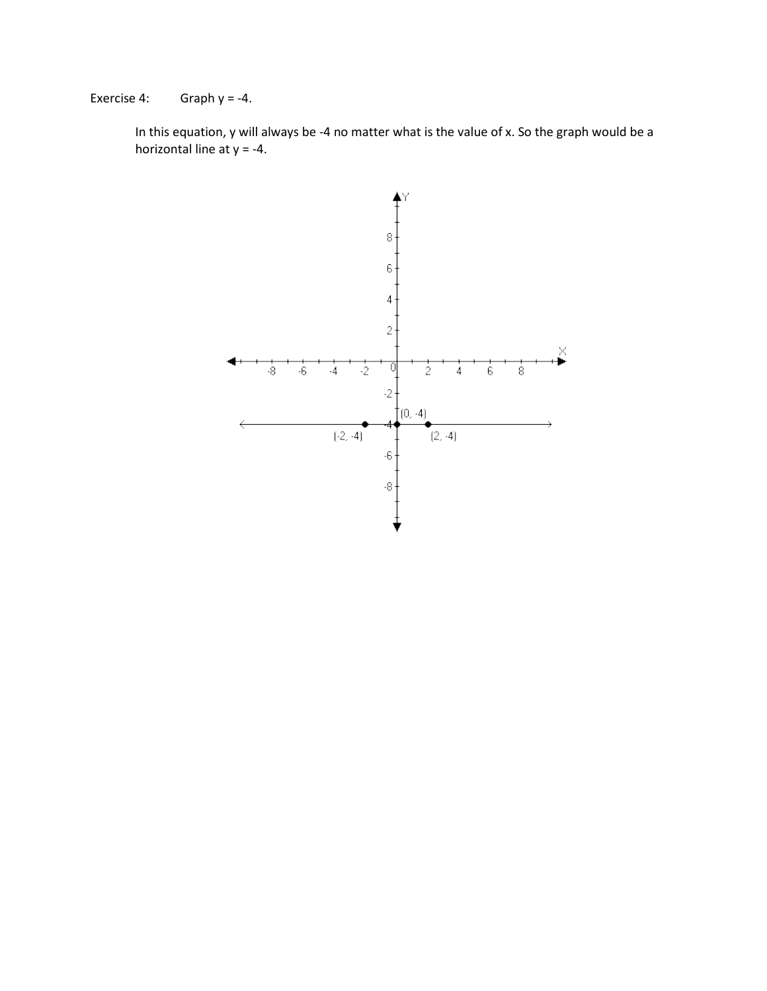Exercise 4: Graph  $y = -4$ .

In this equation, y will always be -4 no matter what is the value of x. So the graph would be a horizontal line at  $y = -4$ .